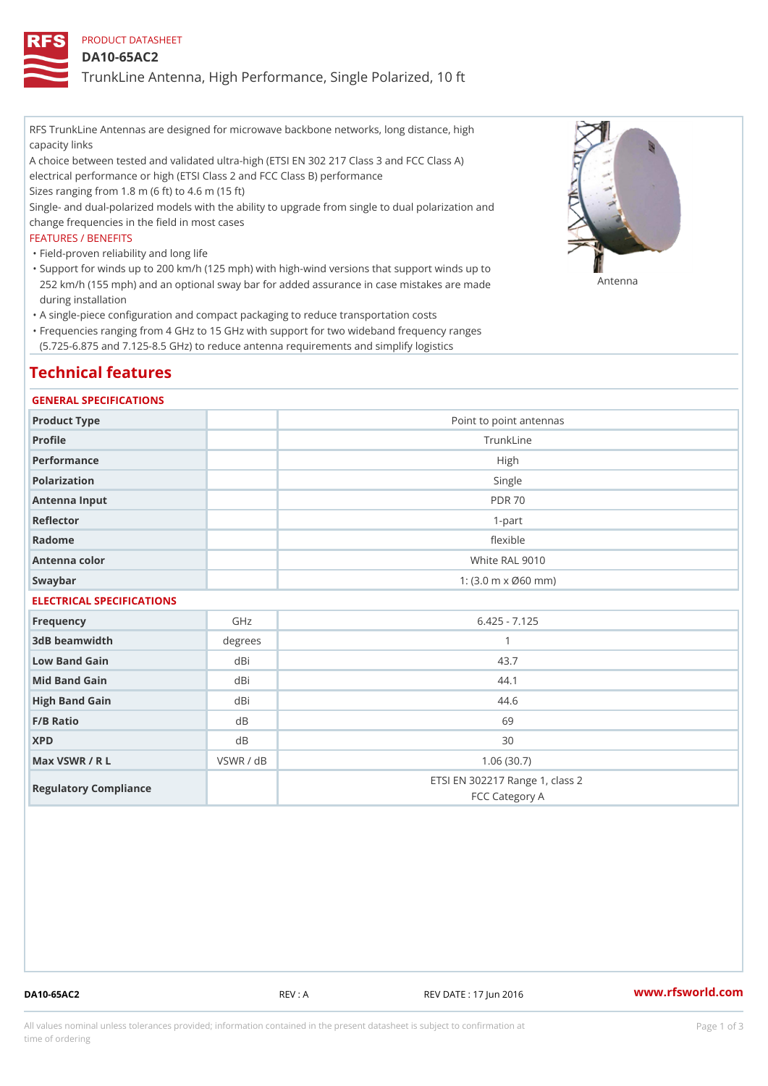## PRODUCT DATASHEET

### DA10-65AC2

TrunkLine Antenna, High Performance, Single Polarized, 10 ft

RFS TrunkLine Antennas are designed for microwave backbone networks, long distance, high capacity links

A choice between tested and validated ultra-high (ETSI EN 302 217 Class 3 and FCC Class A) electrical performance or high (ETSI Class 2 and FCC Class B) performance

Sizes ranging from 1.8 m (6 ft) to 4.6 m (15 ft)

Single- and dual-polarized models with the ability to upgrade from single to dual polarization and change frequencies in the field in most cases

### FEATURES / BENEFITS

"Field-proven reliability and long life

- Support for winds up to 200 km/h (125 mph) with high-wind versions that support winds up to " 252 km/h (155 mph) and an optional sway bar for added assurance in case m S # \$ R & B are made during installation
- "A single-piece configuration and compact packaging to reduce transportation costs
- Frequencies ranging from 4 GHz to 15 GHz with support for two wideband frequency ranges " (5.725-6.875 and 7.125-8.5 GHz) to reduce antenna requirements and simplify logistics

## Technical features

### GENERAL SPECIFICATIONS

| Product Type              | Point to point antennas                                 |  |  |
|---------------------------|---------------------------------------------------------|--|--|
| Profile                   | TrunkLine                                               |  |  |
| Performance               | High                                                    |  |  |
| Polarization              | Single                                                  |  |  |
| Antenna Input             | <b>PDR 70</b>                                           |  |  |
| Reflector                 | $1-part$                                                |  |  |
| Radome                    | flexible                                                |  |  |
| Antenna color             | White RAL 9010                                          |  |  |
| Swaybar                   | 1: $(3.0 \, \text{m} \times \emptyset 60 \, \text{mm})$ |  |  |
| ELECTRICAL SPECIFICATIONS |                                                         |  |  |

| Frequency             | GHz       | $6.425 - 7.125$                                   |
|-----------------------|-----------|---------------------------------------------------|
| 3dB beamwidth         | degree    |                                                   |
| Low Band Gain         | dBi       | 43.7                                              |
| Mid Band Gain         | dBi       | 44.1                                              |
| High Band Gain        | dBi       | 44.6                                              |
| $F/B$ Ratio           | d B       | 69                                                |
| <b>XPD</b>            | d B       | 30                                                |
| Max VSWR / R L        | VSWR / dB | 1.06(30.7)                                        |
| Regulatory Compliance |           | ETSI EN 302217 Range 1, class 2<br>FCC Category A |

DA10-65AC2 REV : A REV DATE : 17 Jun 2016 [www.](https://www.rfsworld.com)rfsworld.com

All values nominal unless tolerances provided; information contained in the present datasheet is subject to Pcapgeign mation time of ordering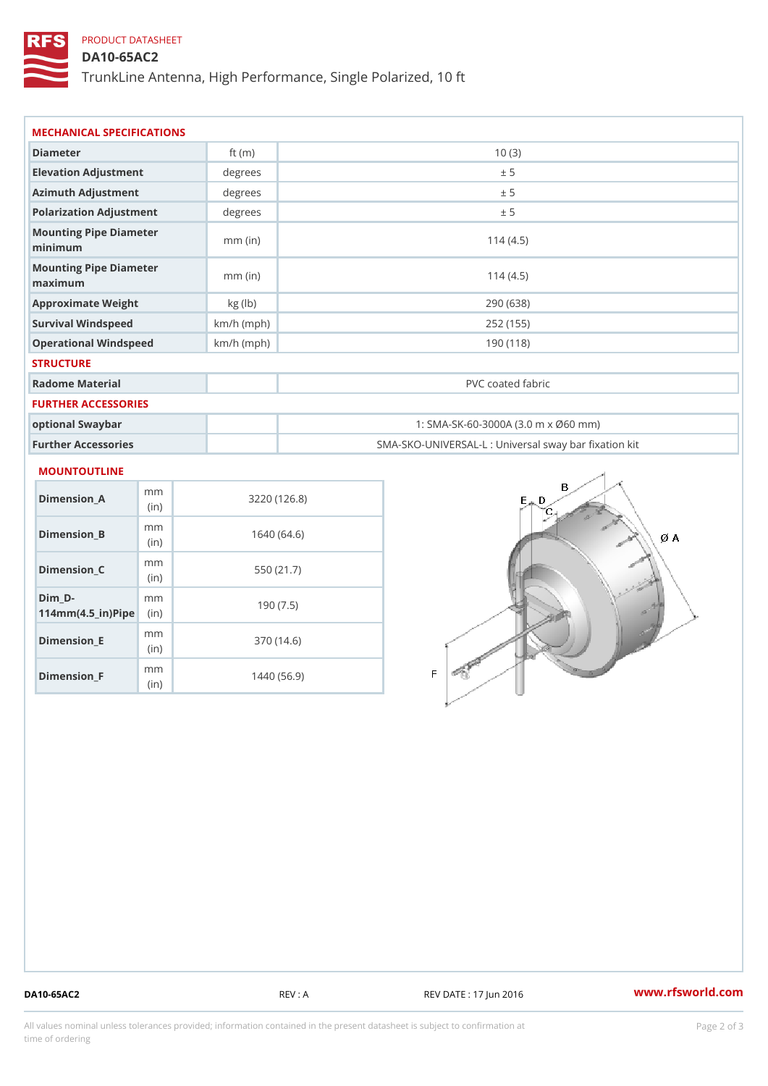## PRODUCT DATASHEET

DA10-65AC2

TrunkLine Antenna, High Performance, Single Polarized, 10 ft

| MECHANICAL SPECIFICATIONS         |              |                                                   |  |  |
|-----------------------------------|--------------|---------------------------------------------------|--|--|
| Diameter                          | ft $(m)$     | 10(3)                                             |  |  |
| Elevation Adjustment              | degrees      | ± 5                                               |  |  |
| Azimuth Adjustment                | degree       | ± 5                                               |  |  |
| Polarization Adjustment           | degree       | ± 5                                               |  |  |
| Mounting Pipe Diameter<br>minimum | $mm$ (in)    | 114(4.5)                                          |  |  |
| Mounting Pipe Diameter<br>maximum | $mm$ (in)    | 114(4.5)                                          |  |  |
| Approximate Weight                | kg(lb)       | 290 (638)                                         |  |  |
| Survival Windspeed                | $km/h$ (mph) | 252 (155)                                         |  |  |
| Operational Windspeed             | $km/h$ (mph) | 190 (118)                                         |  |  |
| <b>STRUCTURE</b>                  |              |                                                   |  |  |
| Radome Material                   |              | PVC coated fabric                                 |  |  |
| FURTHER ACCESSORIES               |              |                                                   |  |  |
| optional Swaybar                  |              | 1: SMA-SK-60-3000A (3.0 m x Ø60 mm)               |  |  |
| Further Accessories               |              | SMA-SKO-UNIVERSAL-L : Universal sway bar fixation |  |  |

### MOUNTOUTLINE

| Dimension A                       | m m<br>(i n)             | 3220 (126.8) |
|-----------------------------------|--------------------------|--------------|
| Dimension B                       | m m<br>(i n)             | 1640 (64.6)  |
| Dimension C                       | m m<br>(i <sub>n</sub> ) | 550 (21.7)   |
| Dim D-<br>$114mm(4.5_{ir})$ $Rip$ | m m                      | 190(7.5)     |
| Dimension E                       | m m<br>(in)              | 370 (14.6)   |
| Dimension_F                       | m m<br>(in               | 1440 (56.9)  |

DA10-65AC2 REV : A REV DATE : 17 Jun 2016 [www.](https://www.rfsworld.com)rfsworld.com